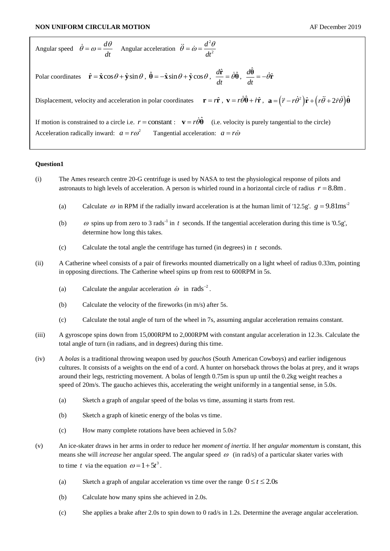Angular speed 
$$
\dot{\theta} = \omega = \frac{d\theta}{dt}
$$
 Angular acceleration  $\ddot{\theta} = \dot{\omega} = \frac{d^2\theta}{dt^2}$   
\nPolar coordinates  $\hat{\mathbf{r}} = \hat{\mathbf{x}}\cos\theta + \hat{\mathbf{y}}\sin\theta$ ,  $\hat{\mathbf{\theta}} = -\hat{\mathbf{x}}\sin\theta + \hat{\mathbf{y}}\cos\theta$ ,  $\frac{d\hat{\mathbf{r}}}{dt} = \dot{\theta}\hat{\mathbf{\theta}}$ ,  $\frac{d\hat{\mathbf{\theta}}}{dt} = -\dot{\theta}\hat{\mathbf{r}}$   
\nDisplacement, velocity and acceleration in polar coordinates  $\mathbf{r} = r\hat{\mathbf{r}}$ ,  $\mathbf{v} = r\dot{\theta}\hat{\mathbf{\theta}} + r\hat{\mathbf{r}}$ ,  $\mathbf{a} = (\ddot{r} - r\dot{\theta}^2)\hat{\mathbf{r}} + (r\ddot{\theta} + 2\dot{r}\dot{\theta})\hat{\mathbf{\theta}}$   
\nIf motion is constrained to a circle i.e.  $r = \text{constant}$ :  $\mathbf{v} = r\dot{\theta}\hat{\mathbf{\theta}}$  (i.e. velocity is purely tangential to the circle)  
\nAcceleration radically inward:  $a = r\omega^2$  Tangential acceleration:  $a = r\dot{\omega}$ 

## **Question1**

- (i) The Ames research centre 20-G centrifuge is used by NASA to test the physiological response of pilots and astronauts to high levels of acceleration. A person is whirled round in a horizontal circle of radius  $r = 8.8$ m.
	- (a) Calculate  $\omega$  in RPM if the radially inward acceleration is at the human limit of '12.5g'.  $g = 9.81$ ms<sup>-2</sup>
	- (b)  $\omega$  spins up from zero to 3 rads<sup>-1</sup> in t seconds. If the tangential acceleration during this time is '0.5g', determine how long this takes.
	- (c) Calculate the total angle the centrifuge has turned (in degrees) in *t* seconds.
- (ii) A Catherine wheel consists of a pair of fireworks mounted diametrically on a light wheel of radius 0.33m, pointing in opposing directions. The Catherine wheel spins up from rest to 600RPM in 5s.
	- (a) Calculate the angular acceleration  $\dot{\omega}$  in rads<sup>-2</sup>.
	- (b) Calculate the velocity of the fireworks (in m/s) after 5s.
	- (c) Calculate the total angle of turn of the wheel in 7s, assuming angular acceleration remains constant.
- (iii) A gyroscope spins down from 15,000RPM to 2,000RPM with constant angular acceleration in 12.3s. Calculate the total angle of turn (in radians, and in degrees) during this time.
- (iv) A *bolas* is a traditional throwing weapon used by *gauchos* (South American Cowboys) and earlier indigenous cultures. It consists of a weights on the end of a cord. A hunter on horseback throws the bolas at prey, and it wraps around their legs, restricting movement. A bolas of length 0.75m is spun up until the 0.2kg weight reaches a speed of 20m/s. The gaucho achieves this, accelerating the weight uniformly in a tangential sense, in 5.0s.
	- (a) Sketch a graph of angular speed of the bolas vs time, assuming it starts from rest.
	- (b) Sketch a graph of kinetic energy of the bolas vs time.
	- (c) How many complete rotations have been achieved in 5.0s?
- (v) An ice-skater draws in her arms in order to reduce her *moment of inertia*. If her *angular momentum* is constant, this means she will *increase* her angular speed. The angular speed  $\omega$  (in rad/s) of a particular skater varies with to time t via the equation  $\omega = 1 + 5t^3$ .
	- (a) Sketch a graph of angular acceleration vs time over the range  $0 \le t \le 2.0$ s
	- (b) Calculate how many spins she achieved in 2.0s.
	- (c) She applies a brake after 2.0s to spin down to 0 rad/s in 1.2s. Determine the average angular acceleration.